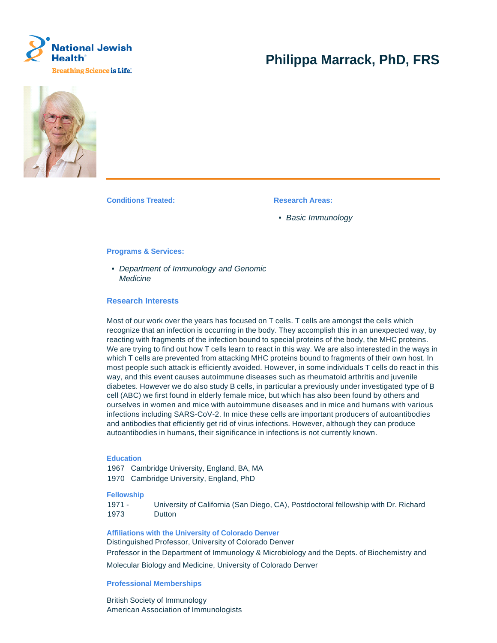

# **Philippa Marrack, PhD, FRS**



**Conditions Treated: Research Areas:** 

• Basic Immunology

#### **Programs & Services:**

• Department of Immunology and Genomic **Medicine** 

# **Research Interests**

Most of our work over the years has focused on T cells. T cells are amongst the cells which recognize that an infection is occurring in the body. They accomplish this in an unexpected way, by reacting with fragments of the infection bound to special proteins of the body, the MHC proteins. We are trying to find out how T cells learn to react in this way. We are also interested in the ways in which T cells are prevented from attacking MHC proteins bound to fragments of their own host. In most people such attack is efficiently avoided. However, in some individuals T cells do react in this way, and this event causes autoimmune diseases such as rheumatoid arthritis and juvenile diabetes. However we do also study B cells, in particular a previously under investigated type of B cell (ABC) we first found in elderly female mice, but which has also been found by others and ourselves in women and mice with autoimmune diseases and in mice and humans with various infections including SARS-CoV-2. In mice these cells are important producers of autoantibodies and antibodies that efficiently get rid of virus infections. However, although they can produce autoantibodies in humans, their significance in infections is not currently known.

# **Education**

1967 Cambridge University, England, BA, MA 1970 Cambridge University, England, PhD

### **Fellowship**

1971 - 1973 University of California (San Diego, CA), Postdoctoral fellowship with Dr. Richard Dutton

#### **Affiliations with the University of Colorado Denver**

Distinguished Professor, University of Colorado Denver Professor in the Department of Immunology & Microbiology and the Depts. of Biochemistry and Molecular Biology and Medicine, University of Colorado Denver

### **Professional Memberships**

British Society of Immunology American Association of Immunologists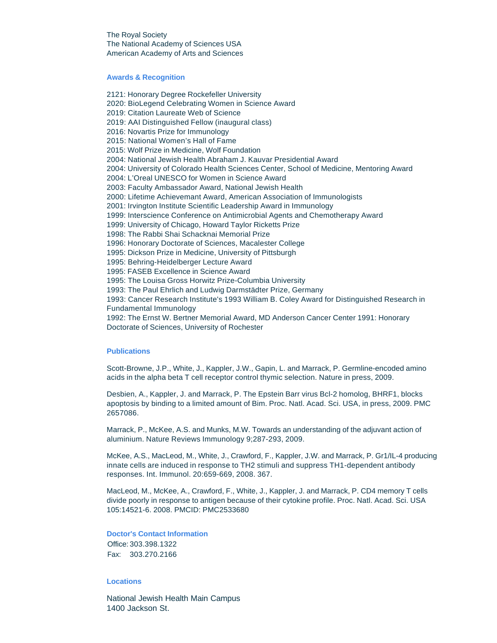The Royal Society The National Academy of Sciences USA American Academy of Arts and Sciences

#### **Awards & Recognition**

2121: Honorary Degree Rockefeller University 2020: BioLegend Celebrating Women in Science Award 2019: Citation Laureate Web of Science 2019: AAI Distinguished Fellow (inaugural class) 2016: Novartis Prize for Immunology 2015: National Women's Hall of Fame 2015: Wolf Prize in Medicine, Wolf Foundation 2004: National Jewish Health Abraham J. Kauvar Presidential Award 2004: University of Colorado Health Sciences Center, School of Medicine, Mentoring Award 2004: L'Oreal UNESCO for Women in Science Award 2003: Faculty Ambassador Award, National Jewish Health 2000: Lifetime Achievemant Award, American Association of Immunologists 2001: Irvington Institute Scientific Leadership Award in Immunology 1999: Interscience Conference on Antimicrobial Agents and Chemotherapy Award 1999: University of Chicago, Howard Taylor Ricketts Prize 1998: The Rabbi Shai Schacknai Memorial Prize 1996: Honorary Doctorate of Sciences, Macalester College 1995: Dickson Prize in Medicine, University of Pittsburgh 1995: Behring-Heidelberger Lecture Award 1995: FASEB Excellence in Science Award 1995: The Louisa Gross Horwitz Prize-Columbia University 1993: The Paul Ehrlich and Ludwig Darmstädter Prize, Germany 1993: Cancer Research Institute's 1993 William B. Coley Award for Distinguished Research in Fundamental Immunology 1992: The Ernst W. Bertner Memorial Award, MD Anderson Cancer Center 1991: Honorary

Doctorate of Sciences, University of Rochester

#### **Publications**

Scott-Browne, J.P., White, J., Kappler, J.W., Gapin, L. and Marrack, P. Germline-encoded amino acids in the alpha beta T cell receptor control thymic selection. Nature in press, 2009.

Desbien, A., Kappler, J. and Marrack, P. The Epstein Barr virus Bcl-2 homolog, BHRF1, blocks apoptosis by binding to a limited amount of Bim. Proc. Natl. Acad. Sci. USA, in press, 2009. PMC 2657086.

Marrack, P., McKee, A.S. and Munks, M.W. Towards an understanding of the adjuvant action of aluminium. Nature Reviews Immunology 9;287-293, 2009.

McKee, A.S., MacLeod, M., White, J., Crawford, F., Kappler, J.W. and Marrack, P. Gr1/IL-4 producing innate cells are induced in response to TH2 stimuli and suppress TH1-dependent antibody responses. Int. Immunol. 20:659-669, 2008. 367.

MacLeod, M., McKee, A., Crawford, F., White, J., Kappler, J. and Marrack, P. CD4 memory T cells divide poorly in response to antigen because of their cytokine profile. Proc. Natl. Acad. Sci. USA 105:14521-6. 2008. PMCID: PMC2533680

**Doctor's Contact Information** Office: 303.398.1322 Fax: 303.270.2166

# **Locations**

National Jewish Health Main Campus 1400 Jackson St.